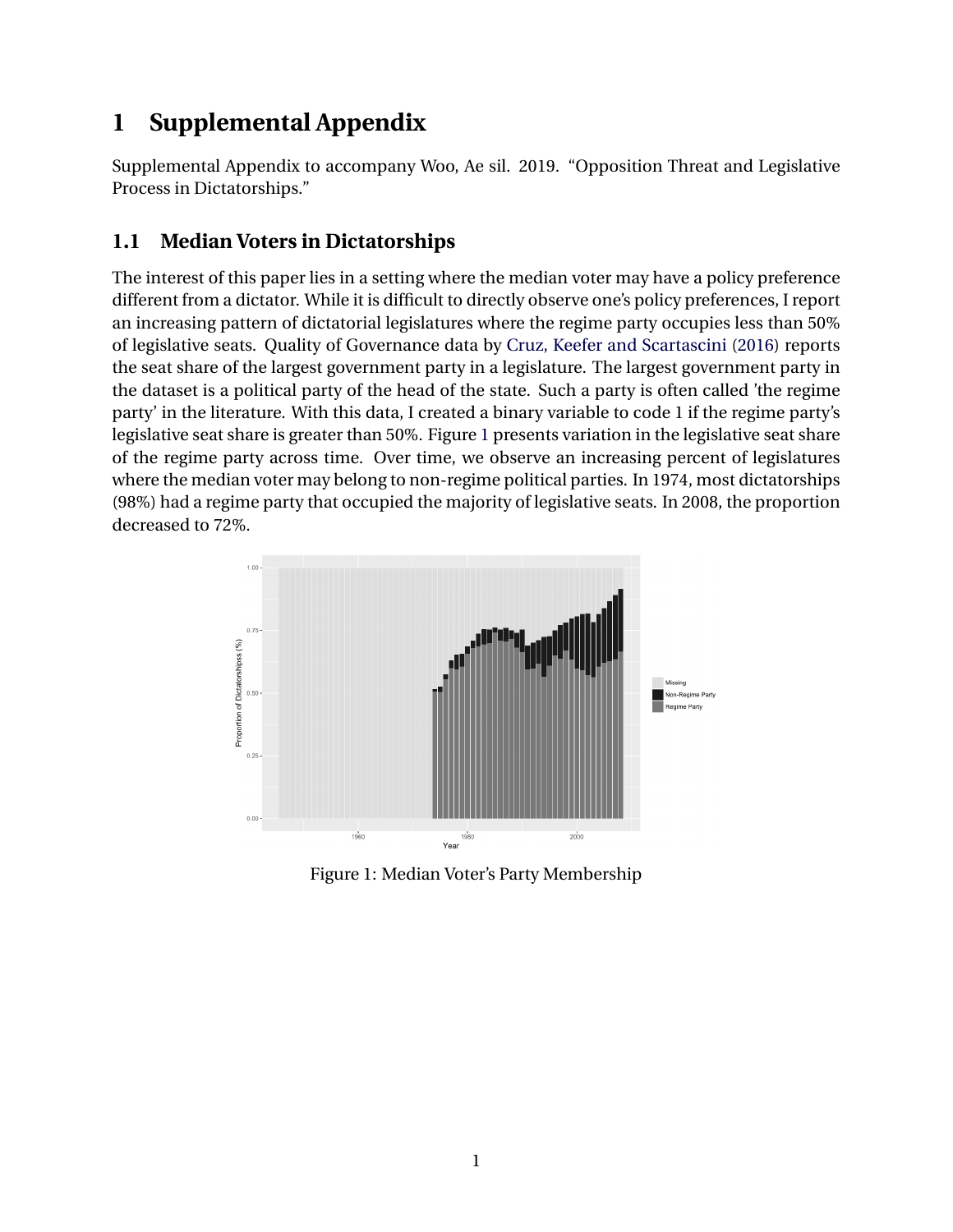# **1 Supplemental Appendix**

Supplemental Appendix to accompany Woo, Ae sil. 2019. "Opposition Threat and Legislative Process in Dictatorships."

# **1.1 Median Voters in Dictatorships**

The interest of this paper lies in a setting where the median voter may have a policy preference different from a dictator. While it is difficult to directly observe one's policy preferences, I report an increasing pattern of dictatorial legislatures where the regime party occupies less than 50% of legislative seats. Quality of Governance data by [Cruz, Keefer and Scartascini](#page-10-0) [\(2016](#page-10-0)) reports the seat share of the largest government party in a legislature. The largest government party in the dataset is a political party of the head of the state. Such a party is often called 'the regime party' in the literature. With this data, I created a binary variable to code 1 if the regime party's legislative seat share is greater than 50%. Figure [1](#page-0-0) presents variation in the legislative seat share of the regime party across time. Over time, we observe an increasing percent of legislatures where the median voter may belong to non-regime political parties. In 1974, most dictatorships (98%) had a regime party that occupied the majority of legislative seats. In 2008, the proportion decreased to 72%.

<span id="page-0-0"></span>

Figure 1: Median Voter's Party Membership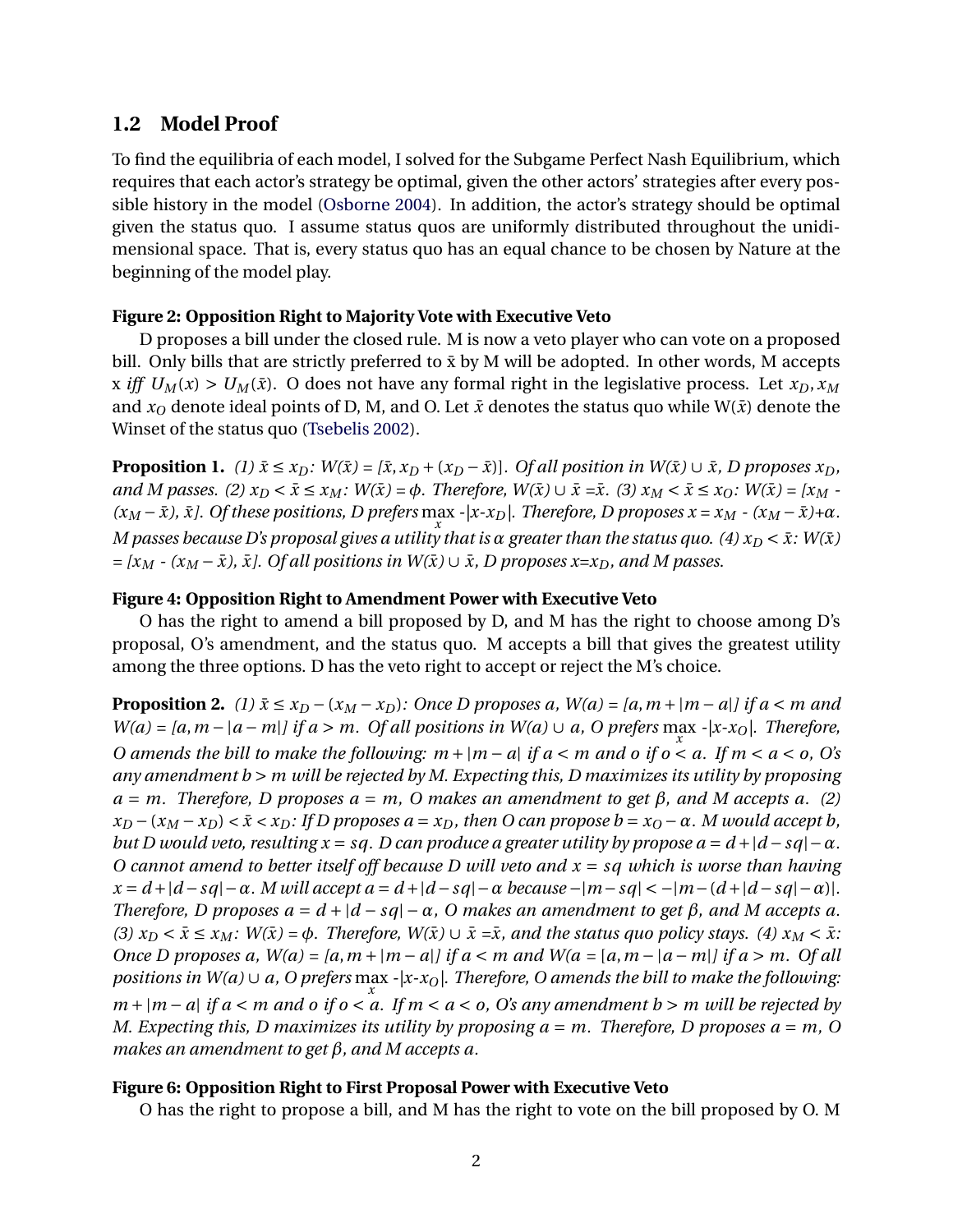### **1.2 Model Proof**

To find the equilibria of each model, I solved for the Subgame Perfect Nash Equilibrium, which requires that each actor's strategy be optimal, given the other actors' strategies after every possible history in the model ([Osborne](#page-10-1) [2004](#page-10-1)). In addition, the actor's strategy should be optimal given the status quo. I assume status quos are uniformly distributed throughout the unidimensional space. That is, every status quo has an equal chance to be chosen by Nature at the beginning of the model play.

#### **Figure 2: Opposition Right to Majority Vote with Executive Veto**

D proposes a bill under the closed rule. M is now a veto player who can vote on a proposed bill. Only bills that are strictly preferred to  $\bar{x}$  by M will be adopted. In other words, M accepts x *iff*  $U_M(x) > U_M(\bar{x})$ . O does not have any formal right in the legislative process. Let  $x_D, x_M$ and  $x<sub>O</sub>$  denote ideal points of D, M, and O. Let  $\bar{x}$  denotes the status quo while W( $\bar{x}$ ) denote the Winset of the status quo ([Tsebelis](#page-10-2) [2002](#page-10-2)).

**Proposition 1.** (1)  $\bar{x} \le x_D$ :  $W(\bar{x}) = [\bar{x}, x_D + (x_D - \bar{x})]$ . Of all position in  $W(\bar{x}) \cup \bar{x}$ , D proposes  $x_D$ , and M passes. (2)  $x_D < \bar{x} \le x_M$ :  $W(\bar{x}) = \phi$ . Therefore,  $W(\bar{x}) \cup \bar{x} = \bar{x}$ . (3)  $x_M < \bar{x} \le x_O$ :  $W(\bar{x}) = [x_M - \bar{x}]$  $(x_M - \bar{x})$ ,  $\bar{x}$ ]. Of these positions, D prefers max  $-|x-x_D|$ . Therefore, D proposes  $x = x_M - (x_M - \bar{x}) + \alpha$ . *x M* passes because D's proposal gives a utility that is α greater than the status quo. (4)  $x_D < \bar{x}$ : W( $\bar{x}$ )  $= [x_M - (x_M - \bar{x}), \bar{x}]$ . Of all positions in  $W(\bar{x}) \cup \bar{x}$ , *D* proposes  $x = x_D$ , and M passes.

#### **Figure 4: Opposition Right to Amendment Power with Executive Veto**

O has the right to amend a bill proposed by D, and M has the right to choose among D's proposal, O's amendment, and the status quo. M accepts a bill that gives the greatest utility among the three options. D has the veto right to accept or reject the M's choice.

**Proposition 2.** (1)  $\bar{x} \le x_D - (x_M - x_D)$ : Once D proposes a,  $W(a) = [a, m + |m - a|]$  if  $a < m$  and *W*(*a*) = [*a*, *m* − |*a* − *m*|*]* if *a* > *m*. Of *all positions in W*(*a*) ∪ *a*, O prefers max -|x-x<sub>O</sub>|. Therefore, *x O amends the bill to make the following: m + |m − a| if a < m and o if o < a. If m < a < o, O's any amendment b > m will be rejected by M. Expecting this, D maximizes its utility by proposing*  $a = m$ . Therefore, D proposes  $a = m$ , O makes an amendment to get  $\beta$ , and M accepts a. (2)  $x_D - (x_M - x_D) < \bar{x} < x_D$ : If D proposes  $a = x_D$ , then O can propose  $b = x_O - \alpha$ . M would accept b, *but D would veto, resulting x = sq. D can produce a greater utility by propose*  $a = d + |d - sq| - \alpha$ *. O cannot amend to better itself off because D will veto and x = sq which is worse than having*  $x = d + |d - sq| - \alpha$ . M will accept  $a = d + |d - sq| - \alpha$  because  $-|m - sq| < -|m - (d + |d - sq| - \alpha)|$ . *Therefore, D proposes*  $a = d + |d - sq| - \alpha$ *, O makes an amendment to get*  $\beta$ *, and M accepts a.*  $(3)$   $x_D < \bar{x} \le x_M$ :  $W(\bar{x}) = \phi$ . Therefore,  $W(\bar{x}) \cup \bar{x} = \bar{x}$ , and the status quo policy stays. (4)  $x_M < \bar{x}$ : Once D proposes a,  $W(a) = [a, m + |m - a|]$  if  $a < m$  and  $W(a = [a, m - |a - m|]$  if  $a > m$ . Of all *positions in W(a) ∪ a, O prefers* max *-|x-xO|. Therefore, O amends the bill to make the following: x m + |m − a| if a < m and o if o < a. If m < a < o, O's any amendment b > m will be rejected by M. Expecting this, D maximizes its utility by proposing*  $a = m$ *. Therefore, D proposes*  $a = m$ *, O makes an amendment to get β, and M accepts a.*

#### **Figure 6: Opposition Right to First Proposal Power with Executive Veto**

O has the right to propose a bill, and M has the right to vote on the bill proposed by O. M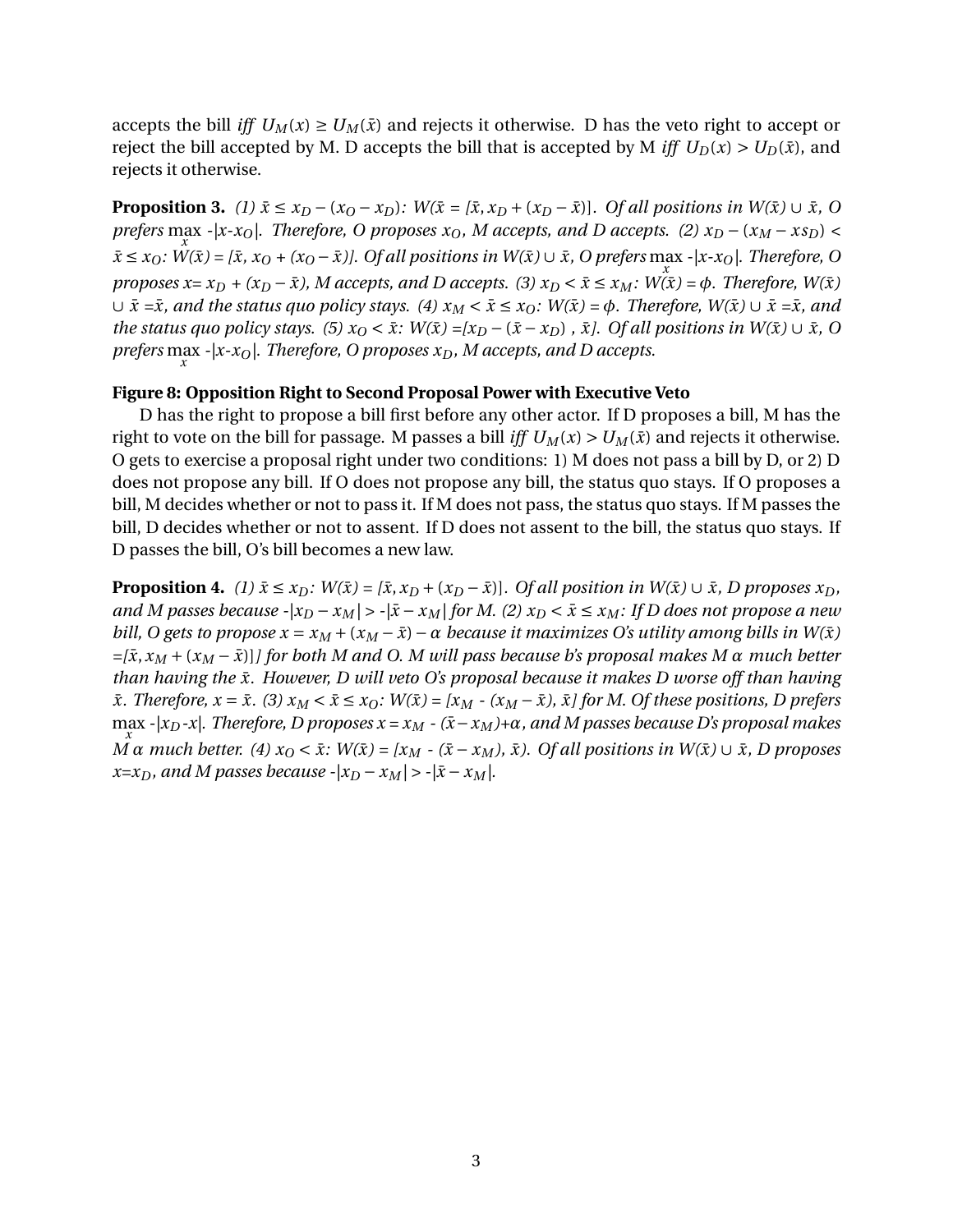accepts the bill *iff*  $U_M(x) \ge U_M(\bar{x})$  and rejects it otherwise. D has the veto right to accept or reject the bill accepted by M. D accepts the bill that is accepted by M *iff*  $U_D(x) > U_D(\bar{x})$ , and rejects it otherwise.

**Proposition 3.** (1)  $\bar{x} \le x_D - (x_O - x_D)$ :  $W(\bar{x} = [\bar{x}, x_D + (x_D - \bar{x})]$ . Of all positions in  $W(\bar{x}) \cup \bar{x}$ , O *prefers* max *x -|x-xO|. Therefore, O proposes xO, M accepts, and D accepts. (2) x<sup>D</sup> −* (*x<sup>M</sup> − xsD*) *<*  $\bar{x} \le x_O$ : W( $\bar{x}$ ) = [ $\bar{x}$ ,  $x_O$  + ( $x_O - \bar{x}$ )]. Of all positions in W( $\bar{x}$ )  $\cup$   $\bar{x}$ , O prefers max -|x- $x_O$ |. Therefore, O *proposes x= x<sub>D</sub></sub> + (x<sub>D</sub> –*  $\bar{x}$ *), M accepts, and D accepts. (3)*  $x_D < \bar{x} \le x_M$ *:*  $\hat{W(x)} = \phi$ *. Therefore,*  $W(\bar{x})$  $∪$   $\bar{x}$  = $\bar{x}$ *, and the status quo policy stays.* (4)  $x_M < \bar{x} \le x_O$ *:*  $W(\bar{x}) = \phi$ *. Therefore,*  $W(\bar{x}) ∪ \bar{x} = \bar{x}$ *, and the status quo policy stays.* (5)  $x<sub>O</sub> < \bar{x}$ :  $W(\bar{x}) = [x<sub>D</sub> - (\bar{x} - x<sub>D</sub>)$ ,  $\bar{x}$ ]. Of all positions in  $W(\bar{x}) \cup \bar{x}$ , O *prefers* max *x -|x-xO|. Therefore, O proposes xD, M accepts, and D accepts.*

#### **Figure 8: Opposition Right to Second Proposal Power with Executive Veto**

D has the right to propose a bill first before any other actor. If D proposes a bill, M has the right to vote on the bill for passage. M passes a bill *iff*  $U_M(x) > U_M(\bar{x})$  and rejects it otherwise. O gets to exercise a proposal right under two conditions: 1) M does not pass a bill by D, or 2) D does not propose any bill. If O does not propose any bill, the status quo stays. If O proposes a bill, M decides whether or not to pass it. If M does not pass, the status quo stays. If M passes the bill, D decides whether or not to assent. If D does not assent to the bill, the status quo stays. If D passes the bill, O's bill becomes a new law.

**Proposition 4.** (1)  $\bar{x} \le x_D$ :  $W(\bar{x}) = [\bar{x}, x_D + (x_D - \bar{x})]$ . Of all position in  $W(\bar{x}) \cup \bar{x}$ , D proposes  $x_D$ , *and M* passes because  $-x_M$  >  $-x_M$   $\frac{1}{x} - x_M$  *for M. (2)*  $x_D < \bar{x} ≤ x_M$ *: If D does not propose a new bill, O gets to propose*  $x = x_M + (x_M - \bar{x}) - \alpha$  *because it maximizes O's utility among bills in W(* $\bar{x}$ *)*  $=[\bar{x}, x_M + (x_M - \bar{x})]$  for both M and O. M will pass because b's proposal makes M  $\alpha$  much better *than having the x. However, D will veto O's proposal because it makes D worse off than having* ¯  $\bar{x}$ . Therefore,  $x = \bar{x}$ . (3)  $x_M < \bar{x} \le x_O$ :  $W(\bar{x}) = [x_M - (x_M - \bar{x}), \bar{x}]$  for M. Of these positions, D prefers max *x -|xD-x|. Therefore, D proposes x = x<sup>M</sup> - (x*¯*−x<sup>M</sup> )+α, and M passes because D's proposal makes*  $\tilde{M} \alpha$  much better. (4)  $x_0 < \bar{x}$ :  $W(\bar{x}) = [x_M - (\bar{x} - x_M), \bar{x})$ . Of all positions in  $W(\bar{x}) \cup \bar{x}$ , D proposes *x*=*x<sub>D</sub>, and M passes because -* $|x_D - x_M|$  > - $|\bar{x} - x_M|$ *.*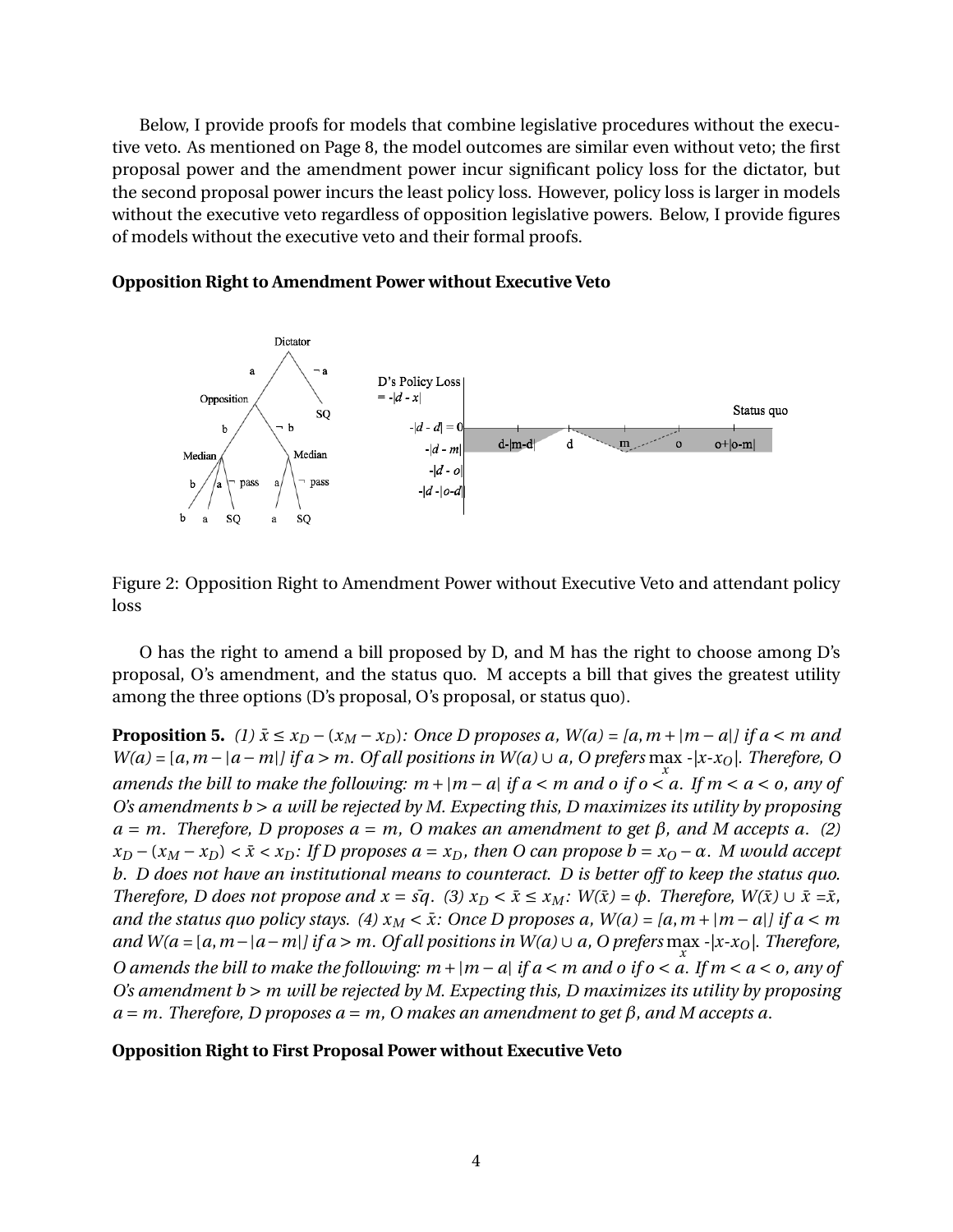Below, I provide proofs for models that combine legislative procedures without the executive veto. As mentioned on Page 8, the model outcomes are similar even without veto; the first proposal power and the amendment power incur significant policy loss for the dictator, but the second proposal power incurs the least policy loss. However, policy loss is larger in models without the executive veto regardless of opposition legislative powers. Below, I provide figures of models without the executive veto and their formal proofs.



#### **Opposition Right to Amendment Power without Executive Veto**

Figure 2: Opposition Right to Amendment Power without Executive Veto and attendant policy loss

O has the right to amend a bill proposed by D, and M has the right to choose among D's proposal, O's amendment, and the status quo. M accepts a bill that gives the greatest utility among the three options (D's proposal, O's proposal, or status quo).

**Proposition 5.** (1)  $\bar{x} \le x_D - (x_M - x_D)$ : Once D proposes a,  $W(a) = [a, m + |m - a|]$  if  $a < m$  and *W*(a) = [a, m − |a − m|] if a > m. Of all positions in W(a) ∪ a, O prefers  $\max_{x}$  -|x-x<sub>O</sub>|. Therefore, O *amends the bill to make the following:*  $m + |m - a|$  *if a* < *m* and *o if o* < *a. If m* < *a* < *o, any of O's amendments b > a will be rejected by M. Expecting this, D maximizes its utility by proposing*  $a = m$ . Therefore, D proposes  $a = m$ , O makes an amendment to get  $\beta$ , and M accepts a. (2)  $x_D - (x_M - x_D) < \bar{x} < x_D$ : If D proposes  $a = x_D$ , then O can propose  $b = x_O - \alpha$ . M would accept *b. D does not have an institutional means to counteract. D is better off to keep the status quo. Therefore, D does not propose and*  $x = \overline{sq}$ *. (3)*  $x_D < \overline{x} \le x_M$ :  $W(\overline{x}) = \phi$ . *Therefore,*  $W(\overline{x}) \cup \overline{x} = \overline{x}$ , *and the status quo policy stays.* (4)  $x_M < \bar{x}$ : Once D proposes a,  $W(a) = [a, m + |m - a|]$  if  $a < m$ *and W(a =* [*a*,*m−|a−m|] if a > m. Of all positions in W(a) ∪ a, O prefers* max *-|x-xO|. Therefore, x O amends the bill to make the following: m +|m − a| if a < m and o if o < a. If m < a < o, any of O's amendment b > m will be rejected by M. Expecting this, D maximizes its utility by proposing a = m. Therefore, D proposes a = m, O makes an amendment to get β, and M accepts a.*

#### **Opposition Right to First Proposal Power without Executive Veto**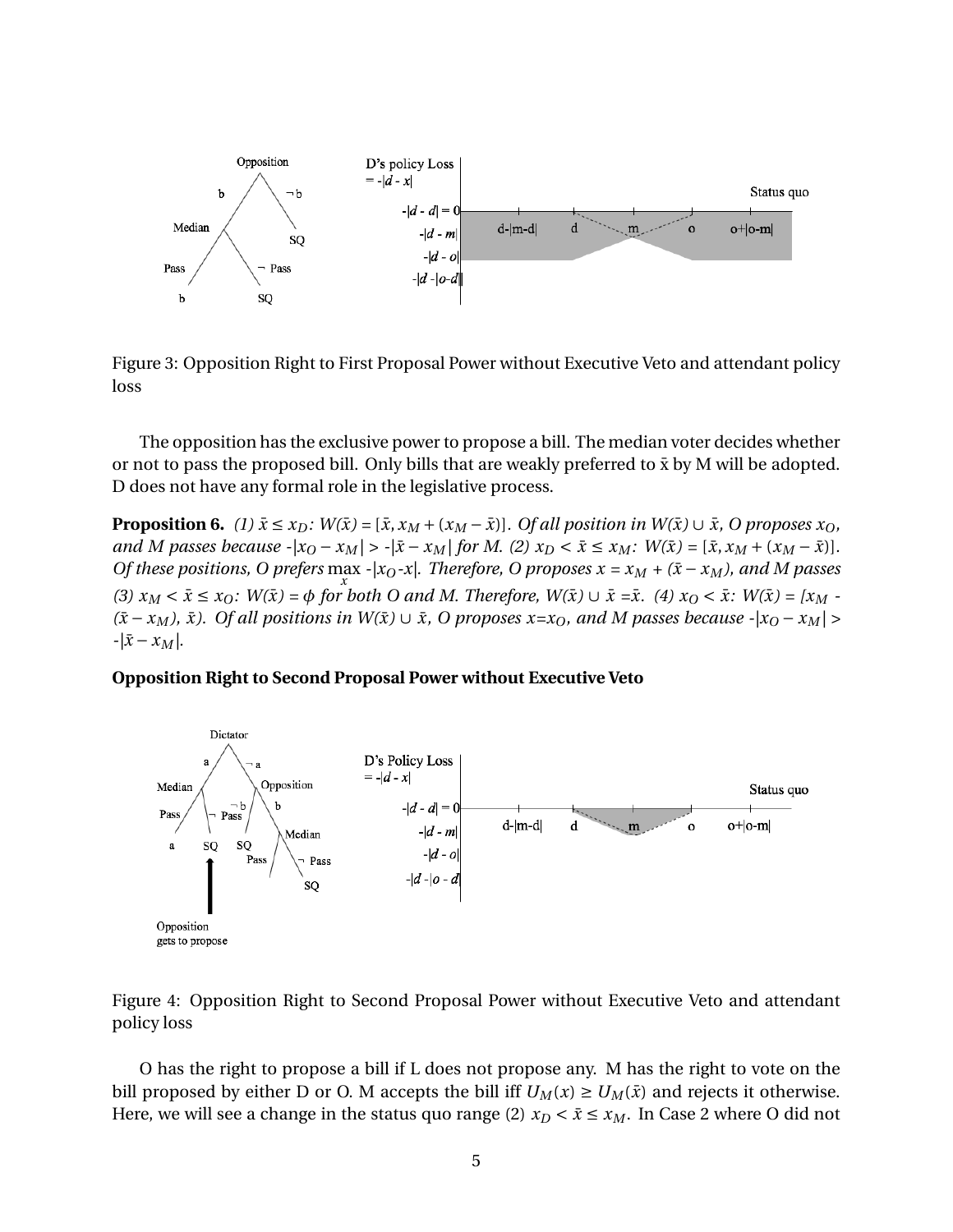

Figure 3: Opposition Right to First Proposal Power without Executive Veto and attendant policy loss

The opposition has the exclusive power to propose a bill. The median voter decides whether or not to pass the proposed bill. Only bills that are weakly preferred to  $\bar{x}$  by M will be adopted. D does not have any formal role in the legislative process.

**Proposition 6.** (1)  $\bar{x} \le x_D$ :  $W(\bar{x}) = [\bar{x}, x_M + (x_M - \bar{x})]$ . Of all position in  $W(\bar{x}) \cup \bar{x}$ , O proposes  $x_O$ , and M passes because  $|x_{0} - x_{M}| > |x - x_{M}|$  for M. (2)  $x_{D} < \bar{x} \le x_{M}$ :  $W(\bar{x}) = [\bar{x}, x_{M} + (x_{M} - \bar{x})]$ . *Of these positions, O prefers*  $\max_{x}$  - $|x_0-x|$ . Therefore, O proposes  $x = x_M + (\bar{x} - x_M)$ , and M passes *x* (3)  $x_M < \bar{x} \le x_O$ :  $W(\bar{x}) = \phi$  for both O and M. Therefore,  $W(\bar{x}) \cup \bar{x} = \bar{x}$ . (4)  $x_O < \bar{x}$ :  $W(\bar{x}) = [x_M - \bar{x}]$ *(* $\bar{x}$ − *x<sub>M</sub>*),  $\bar{x}$ *).* Of all positions in W( $\bar{x}$ ) ∪  $\bar{x}$ , O proposes  $x=x_0$ , and M passes because  $-|x_0 - x_M|$  > *-|x*¯ *− x<sup>M</sup> |.*

#### **Opposition Right to Second Proposal Power without Executive Veto**



Figure 4: Opposition Right to Second Proposal Power without Executive Veto and attendant policy loss

O has the right to propose a bill if L does not propose any. M has the right to vote on the bill proposed by either D or O. M accepts the bill iff  $U_M(x) \ge U_M(\bar{x})$  and rejects it otherwise. Here, we will see a change in the status quo range (2)  $x_D < \bar{x} \le x_M$ . In Case 2 where O did not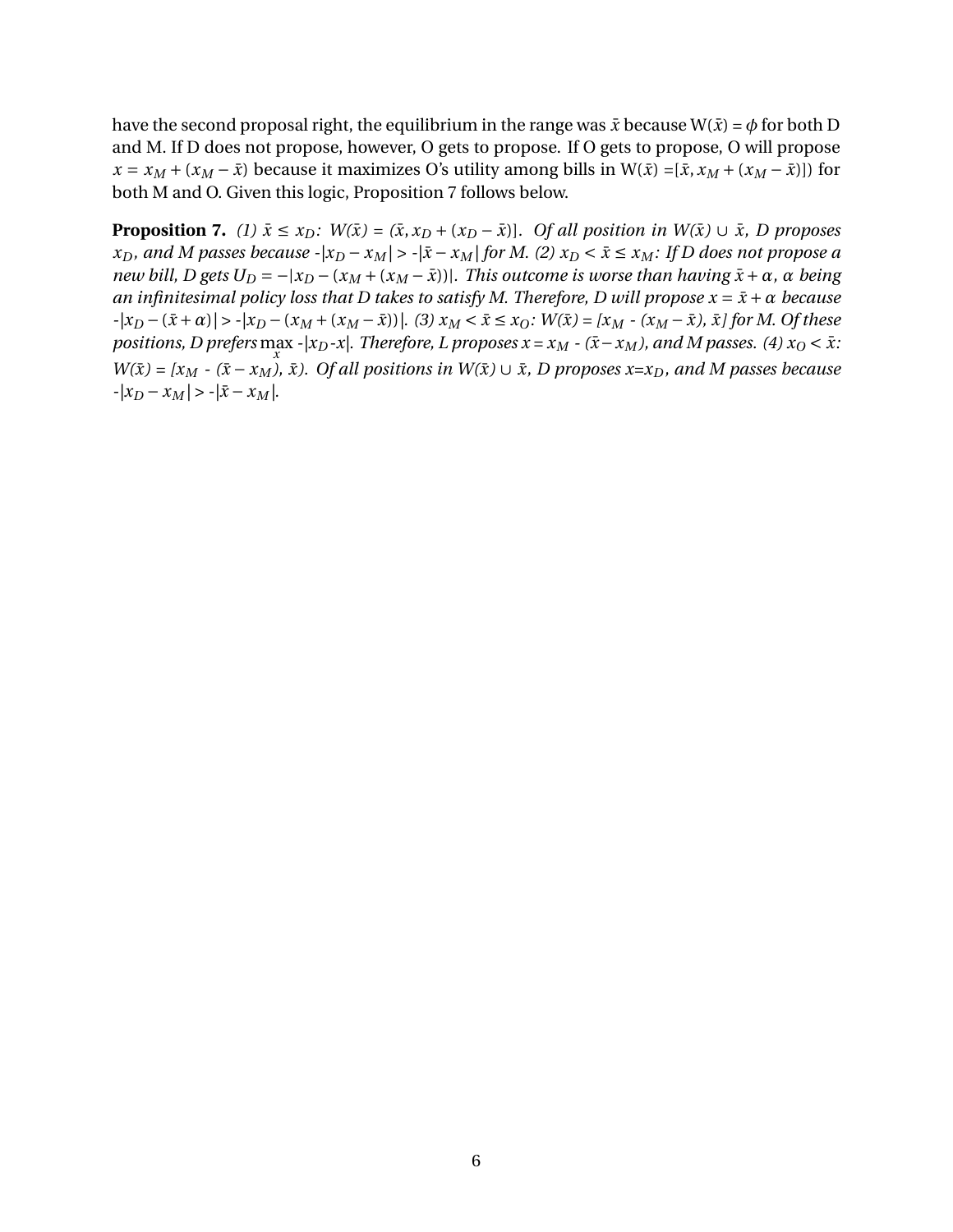have the second proposal right, the equilibrium in the range was  $\bar{x}$  because W( $\bar{x}$ ) =  $\phi$  for both D and M. If D does not propose, however, O gets to propose. If O gets to propose, O will propose  $x = x_M + (x_M - \bar{x})$  because it maximizes O's utility among bills in W( $\bar{x}$ ) =[ $\bar{x}$ ,  $x_M + (x_M - \bar{x})$ ]) for both M and O. Given this logic, Proposition 7 follows below.

**Proposition 7.** (1)  $\bar{x} \le x_D$ :  $W(\bar{x}) = (\bar{x}, x_D + (x_D - \bar{x})]$ . Of all position in  $W(\bar{x}) \cup \bar{x}$ , D proposes  $x_D$ , and M passes because  $|x_D - x_M|$  >  $-|\bar{x} - x_M|$  for M. (2)  $x_D < \bar{x} \le x_M$ : If D does not propose a new bill, D gets  $U_D = -|x_D - (x_M + (x_M - \bar{x}))|$ . This outcome is worse than having  $\bar{x} + \alpha$ ,  $\alpha$  being *an infinitesimal policy loss that D takes to satisfy M. Therefore, D will propose*  $x = \bar{x} + \alpha$  *because*  $-|x_D - (\bar{x} + \alpha)| > -|x_D - (x_M + (x_M - \bar{x}))|$ . (3)  $x_M < \bar{x} \le x_O$ :  $W(\bar{x}) = |x_M - (x_M - \bar{x}), \bar{x}|$  for M. Of these *positions, D prefers* max -|x<sub>D</sub>-x|. Therefore, L proposes x = x<sub>M</sub> - (x̄− x<sub>M</sub>), and M passes. (4) x<sub>O</sub> < x: *x*  $W(\bar{x}) = [x_M - (\bar{x} - x_M), \bar{x})$ . Of all positions in  $W(\bar{x}) \cup \bar{x}$ , D proposes  $x=x_D$ , and M passes because  $-|x_D - x_M| > -|\bar{x} - x_M|$ .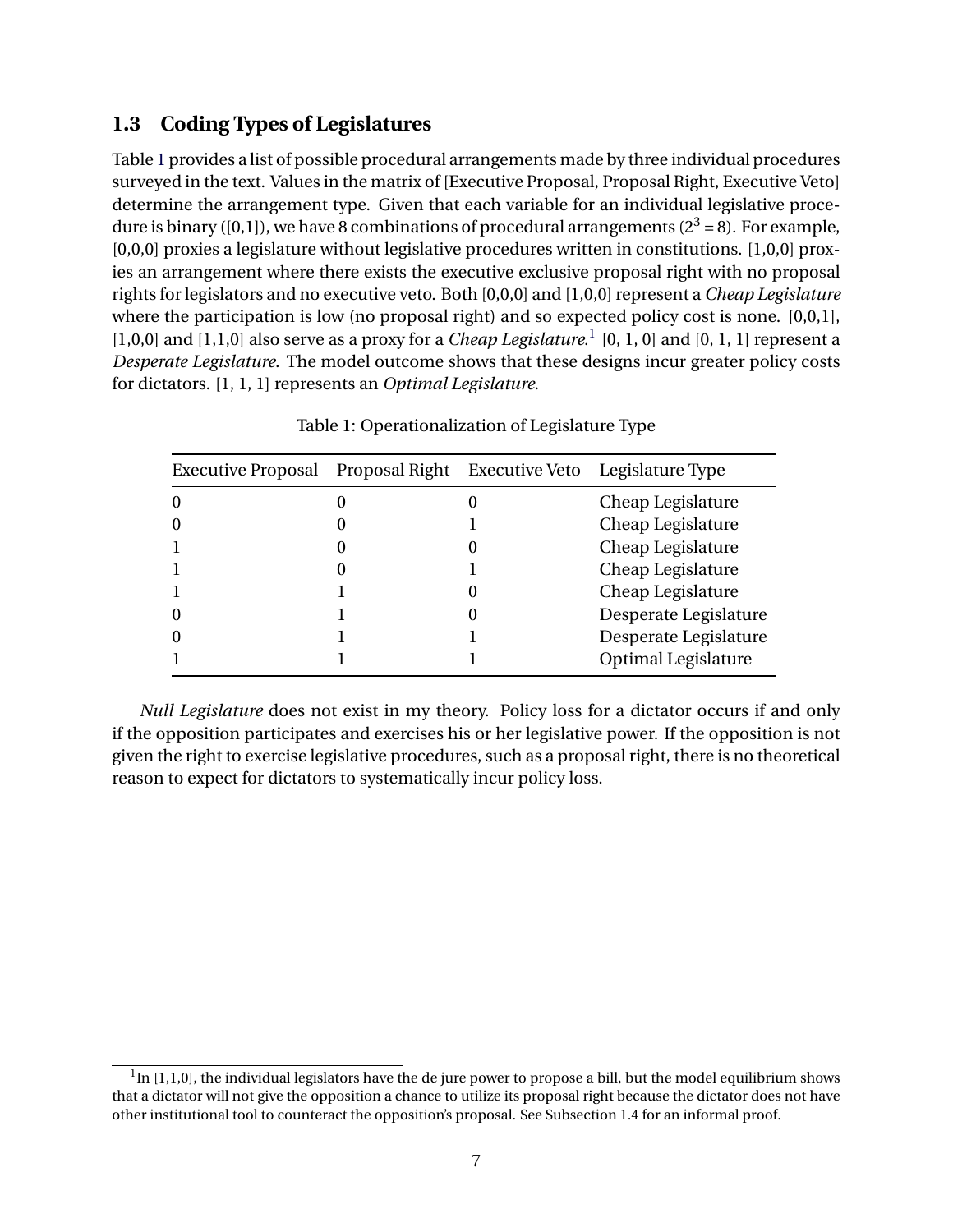### **1.3 Coding Types of Legislatures**

Table [1](#page-6-0) provides a list of possible procedural arrangements made by three individual procedures surveyed in the text. Values in the matrix of [Executive Proposal, Proposal Right, Executive Veto] determine the arrangement type. Given that each variable for an individual legislative procedure is binary ([0,1]), we have 8 combinations of procedural arrangements ( $2^3 = 8$ ). For example, [0,0,0] proxies a legislature without legislative procedures written in constitutions. [1,0,0] proxies an arrangement where there exists the executive exclusive proposal right with no proposal rights for legislators and no executive veto. Both [0,0,0] and [1,0,0] represent a *Cheap Legislature* where the participation is low (no proposal right) and so expected policy cost is none. [0,0,1], [[1](#page-6-1),0,0] and [1,1,0] also serve as a proxy for a *Cheap Legislature*.<sup>1</sup> [0, 1, 0] and [0, 1, 1] represent a *Desperate Legislature*. The model outcome shows that these designs incur greater policy costs for dictators. [1, 1, 1] represents an *Optimal Legislature*.

<span id="page-6-0"></span>

| Executive Proposal | Proposal Right | Executive Veto Legislature Type |
|--------------------|----------------|---------------------------------|
| 0                  | 0              | Cheap Legislature               |
| 0                  |                | Cheap Legislature               |
|                    |                | Cheap Legislature               |
|                    |                | Cheap Legislature               |
|                    |                | Cheap Legislature               |
| 0                  |                | Desperate Legislature           |
| 0                  |                | Desperate Legislature           |
|                    |                | <b>Optimal Legislature</b>      |
|                    |                |                                 |

Table 1: Operationalization of Legislature Type

*Null Legislature* does not exist in my theory. Policy loss for a dictator occurs if and only if the opposition participates and exercises his or her legislative power. If the opposition is not given the right to exercise legislative procedures, such as a proposal right, there is no theoretical reason to expect for dictators to systematically incur policy loss.

<span id="page-6-1"></span> $1$ In [1,1,0], the individual legislators have the de jure power to propose a bill, but the model equilibrium shows that a dictator will not give the opposition a chance to utilize its proposal right because the dictator does not have other institutional tool to counteract the opposition's proposal. See Subsection 1.4 for an informal proof.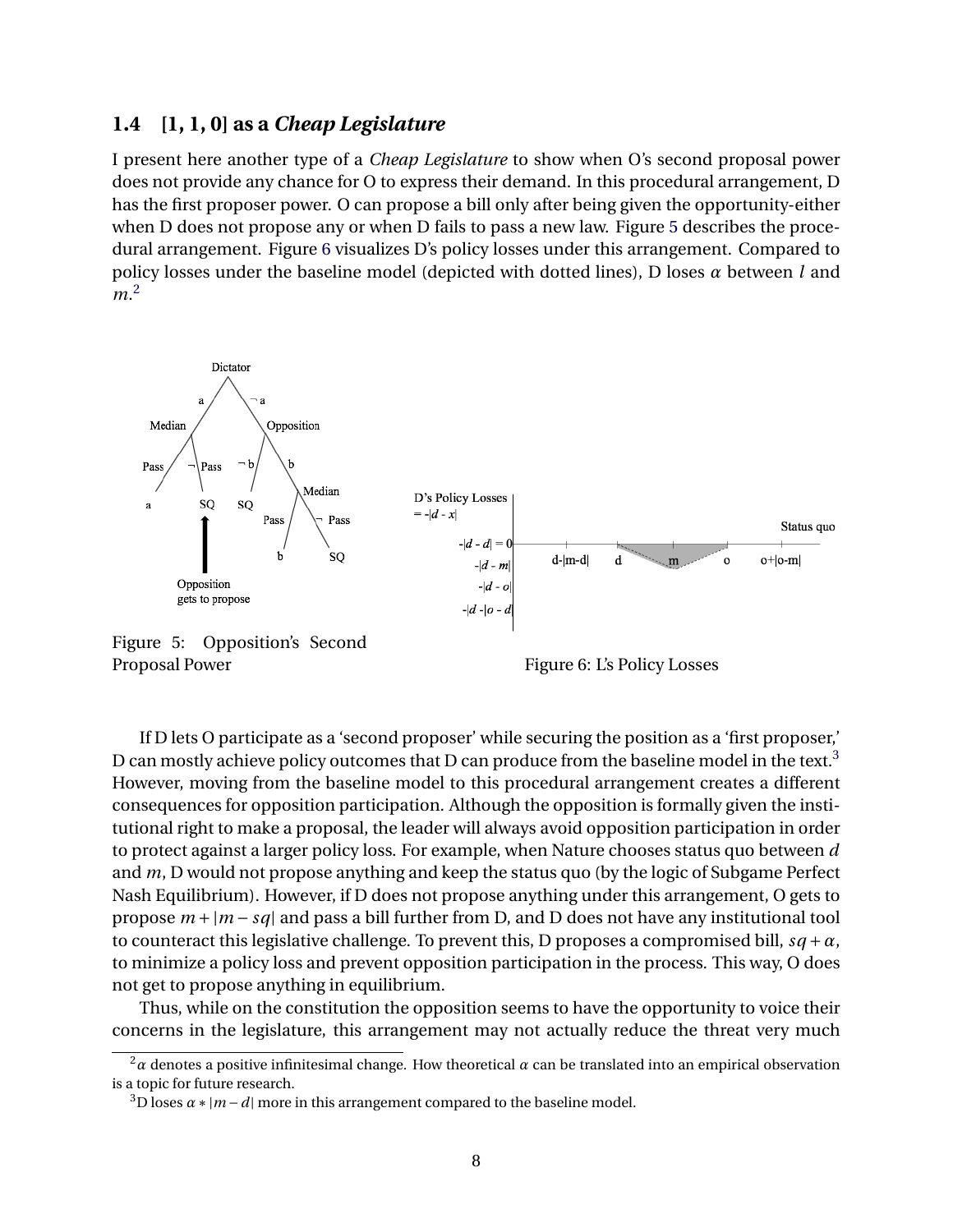#### **1.4 [1, 1, 0] as a** *Cheap Legislature*

I present here another type of a *Cheap Legislature* to show when O's second proposal power does not provide any chance for O to express their demand. In this procedural arrangement, D has the first proposer power. O can propose a bill only after being given the opportunity-either when D does not propose any or when D fails to pass a new law. Figure [5](#page-7-0) describes the procedural arrangement. Figure [6](#page-7-0) visualizes D's policy losses under this arrangement. Compared to policy losses under the baseline model (depicted with dotted lines), D loses *α* between *l* and *m*. [2](#page-7-1)

<span id="page-7-0"></span>

Figure 5: Opposition's Second Proposal Power Figure 6: L's Policy Losses



If D lets O participate as a 'second proposer' while securing the position as a 'first proposer,' D can mostly achieve policy outcomes that D can produce from the baseline model in the text.<sup>[3](#page-7-2)</sup> However, moving from the baseline model to this procedural arrangement creates a different consequences for opposition participation. Although the opposition is formally given the institutional right to make a proposal, the leader will always avoid opposition participation in order to protect against a larger policy loss. For example, when Nature chooses status quo between *d* and *m*, D would not propose anything and keep the status quo (by the logic of Subgame Perfect Nash Equilibrium). However, if D does not propose anything under this arrangement, O gets to propose *m +|m − sq|* and pass a bill further from D, and D does not have any institutional tool to counteract this legislative challenge. To prevent this, D proposes a compromised bill,  $sq + a$ , to minimize a policy loss and prevent opposition participation in the process. This way, O does not get to propose anything in equilibrium.

Thus, while on the constitution the opposition seems to have the opportunity to voice their concerns in the legislature, this arrangement may not actually reduce the threat very much

<span id="page-7-1"></span><sup>2</sup>*α* denotes a positive infinitesimal change. How theoretical *α* can be translated into an empirical observation is a topic for future research.

<span id="page-7-2"></span> $3D$  loses  $\alpha$  *\**  $|m - d|$  more in this arrangement compared to the baseline model.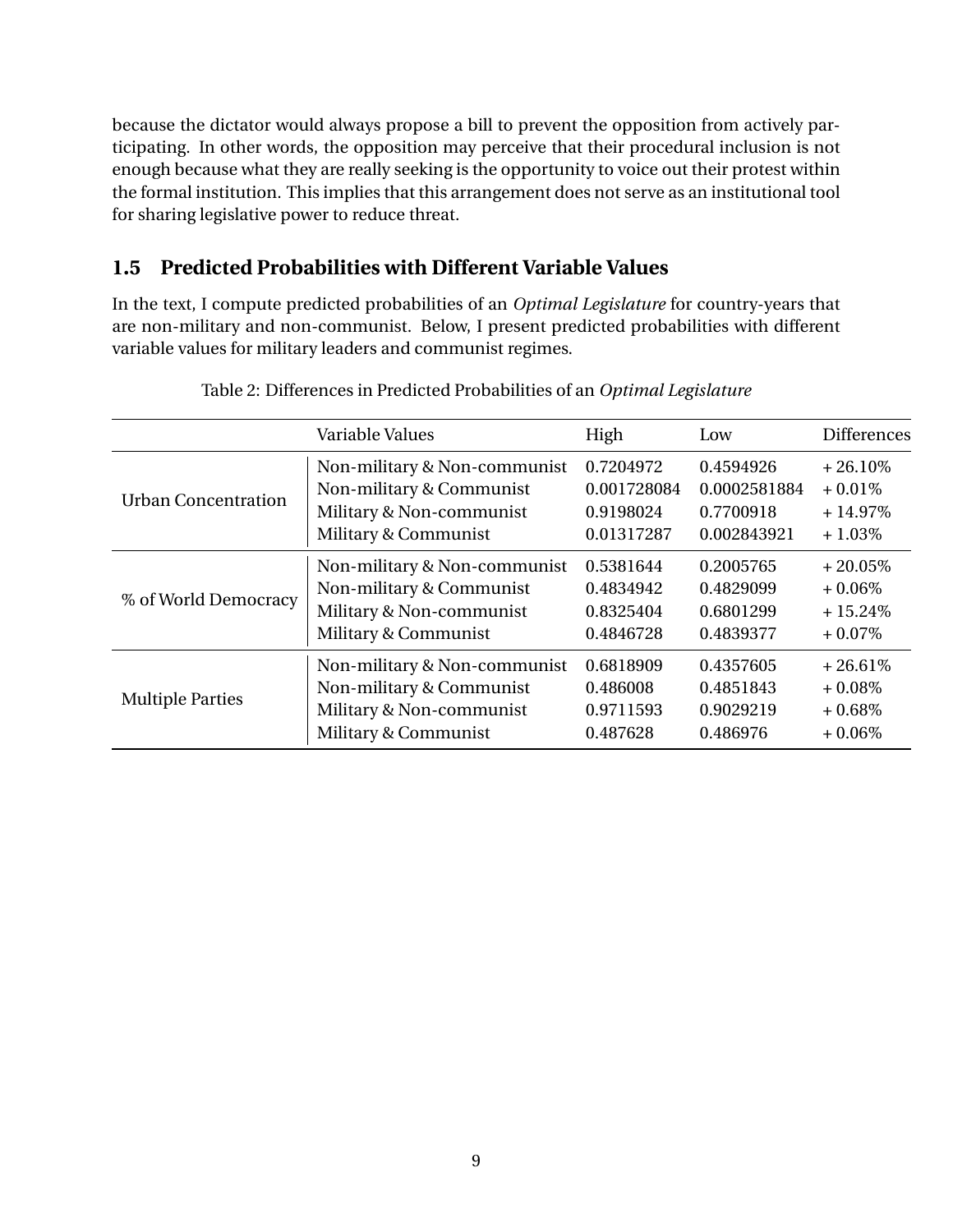because the dictator would always propose a bill to prevent the opposition from actively participating. In other words, the opposition may perceive that their procedural inclusion is not enough because what they are really seeking is the opportunity to voice out their protest within the formal institution. This implies that this arrangement does not serve as an institutional tool for sharing legislative power to reduce threat.

## **1.5 Predicted Probabilities with Different Variable Values**

In the text, I compute predicted probabilities of an *Optimal Legislature* for country-years that are non-military and non-communist. Below, I present predicted probabilities with different variable values for military leaders and communist regimes.

|                            | Variable Values              |             | Low          | <b>Differences</b> |
|----------------------------|------------------------------|-------------|--------------|--------------------|
|                            |                              | High        |              |                    |
| <b>Urban Concentration</b> | Non-military & Non-communist | 0.7204972   | 0.4594926    | $+26.10\%$         |
|                            | Non-military & Communist     | 0.001728084 | 0.0002581884 | $+0.01\%$          |
|                            | Military & Non-communist     | 0.9198024   | 0.7700918    | $+14.97%$          |
|                            | Military & Communist         | 0.01317287  | 0.002843921  | $+1.03\%$          |
| % of World Democracy       | Non-military & Non-communist | 0.5381644   | 0.2005765    | $+20.05\%$         |
|                            | Non-military & Communist     | 0.4834942   | 0.4829099    | $+0.06\%$          |
|                            | Military & Non-communist     | 0.8325404   | 0.6801299    | $+15.24\%$         |
|                            | Military & Communist         | 0.4846728   | 0.4839377    | $+0.07\%$          |
| <b>Multiple Parties</b>    | Non-military & Non-communist | 0.6818909   | 0.4357605    | $+26.61\%$         |
|                            | Non-military & Communist     | 0.486008    | 0.4851843    | $+0.08\%$          |
|                            | Military & Non-communist     | 0.9711593   | 0.9029219    | $+0.68\%$          |
|                            | Military & Communist         | 0.487628    | 0.486976     | $+0.06\%$          |

| Table 2: Differences in Predicted Probabilities of an Optimal Legislature |  |  |  |
|---------------------------------------------------------------------------|--|--|--|
|                                                                           |  |  |  |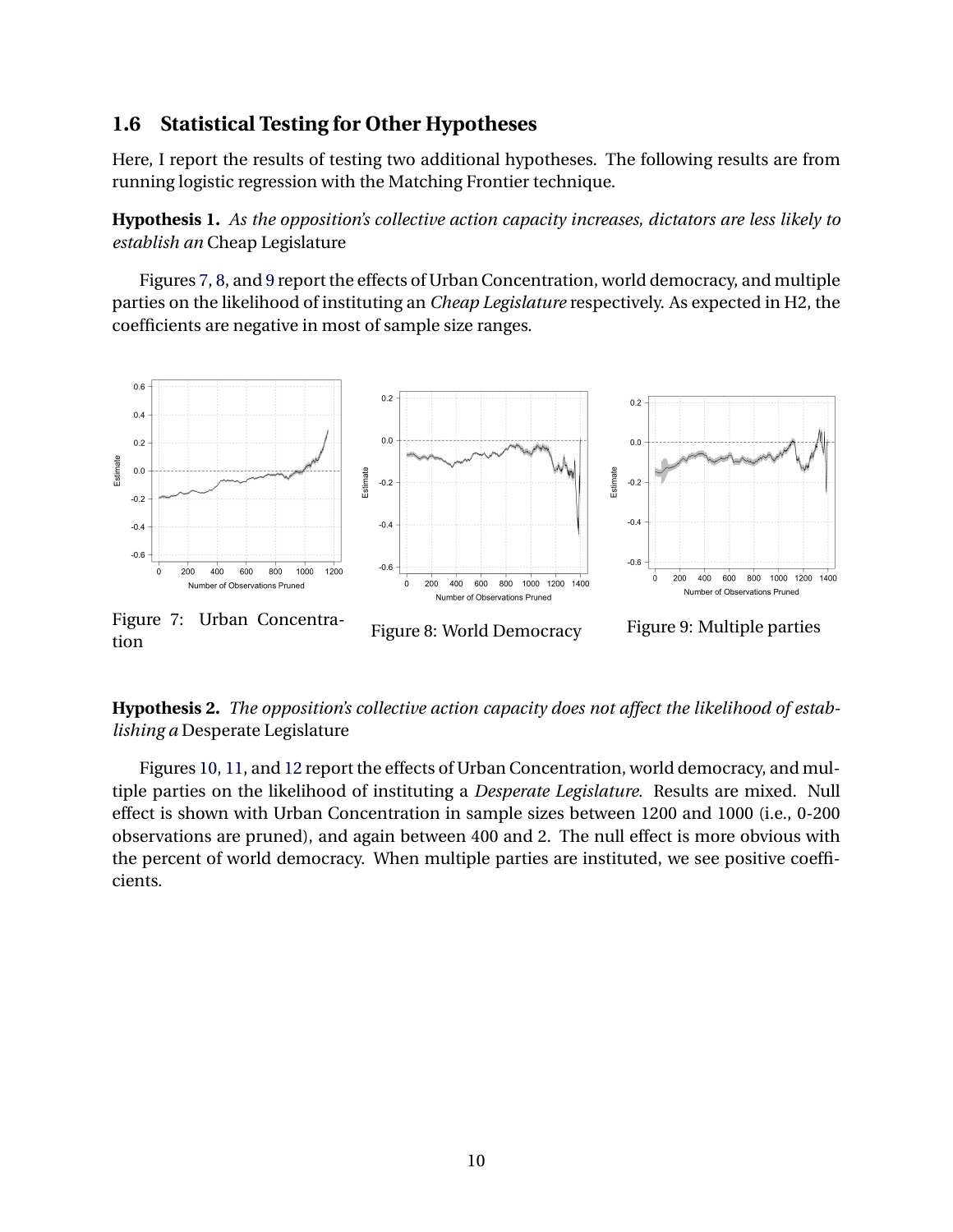### **1.6 Statistical Testing for Other Hypotheses**

Here, I report the results of testing two additional hypotheses. The following results are from running logistic regression with the Matching Frontier technique.

**Hypothesis 1.** *As the opposition's collective action capacity increases, dictators are less likely to establish an* Cheap Legislature

Figures [7,](#page-9-0) [8,](#page-9-0) and [9](#page-9-0) report the effects of Urban Concentration, world democracy, and multiple parties on the likelihood of instituting an *Cheap Legislature* respectively. As expected in H2, the coefficients are negative in most of sample size ranges.

<span id="page-9-0"></span>

**Hypothesis 2.** *The opposition's collective action capacity does not affect the likelihood of establishing a* Desperate Legislature

Figures [10,](#page-10-3) [11](#page-10-3), and [12](#page-10-3) report the effects of Urban Concentration, world democracy, and multiple parties on the likelihood of instituting a *Desperate Legislature*. Results are mixed. Null effect is shown with Urban Concentration in sample sizes between 1200 and 1000 (i.e., 0-200 observations are pruned), and again between 400 and 2. The null effect is more obvious with the percent of world democracy. When multiple parties are instituted, we see positive coefficients.